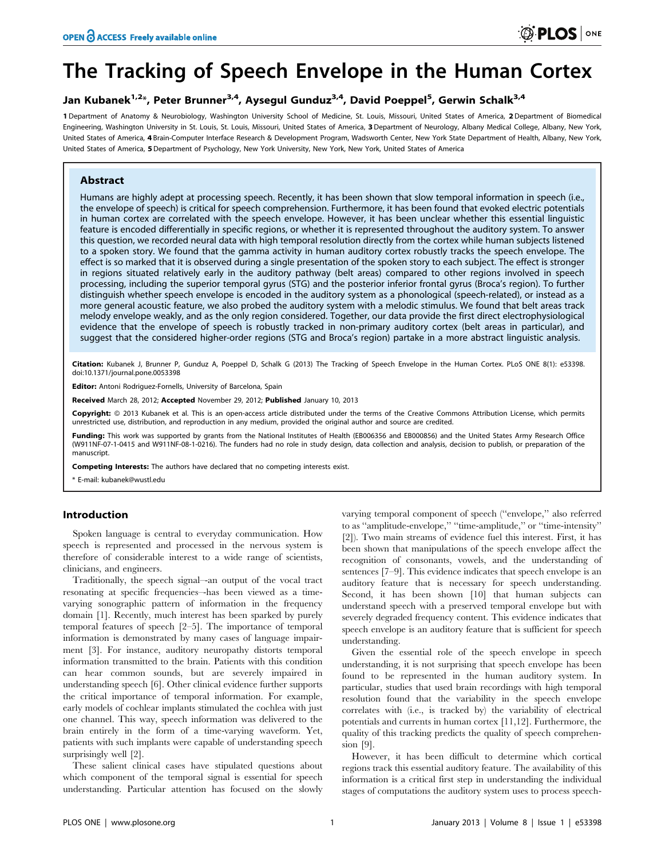# The Tracking of Speech Envelope in the Human Cortex

# Jan Kubanek<sup>1,2</sup>\*, Peter Brunner<sup>3,4</sup>, Aysegul Gunduz<sup>3,4</sup>, David Poeppel<sup>5</sup>, Gerwin Schalk<sup>3,4</sup>

1 Department of Anatomy & Neurobiology, Washington University School of Medicine, St. Louis, Missouri, United States of America, 2 Department of Biomedical Engineering, Washington University in St. Louis, St. Louis, Missouri, United States of America, 3 Department of Neurology, Albany Medical College, Albany, New York, United States of America, 4 Brain-Computer Interface Research & Development Program, Wadsworth Center, New York State Department of Health, Albany, New York, United States of America, 5Department of Psychology, New York University, New York, New York, United States of America

### Abstract

Humans are highly adept at processing speech. Recently, it has been shown that slow temporal information in speech (i.e., the envelope of speech) is critical for speech comprehension. Furthermore, it has been found that evoked electric potentials in human cortex are correlated with the speech envelope. However, it has been unclear whether this essential linguistic feature is encoded differentially in specific regions, or whether it is represented throughout the auditory system. To answer this question, we recorded neural data with high temporal resolution directly from the cortex while human subjects listened to a spoken story. We found that the gamma activity in human auditory cortex robustly tracks the speech envelope. The effect is so marked that it is observed during a single presentation of the spoken story to each subject. The effect is stronger in regions situated relatively early in the auditory pathway (belt areas) compared to other regions involved in speech processing, including the superior temporal gyrus (STG) and the posterior inferior frontal gyrus (Broca's region). To further distinguish whether speech envelope is encoded in the auditory system as a phonological (speech-related), or instead as a more general acoustic feature, we also probed the auditory system with a melodic stimulus. We found that belt areas track melody envelope weakly, and as the only region considered. Together, our data provide the first direct electrophysiological evidence that the envelope of speech is robustly tracked in non-primary auditory cortex (belt areas in particular), and suggest that the considered higher-order regions (STG and Broca's region) partake in a more abstract linguistic analysis.

Citation: Kubanek J, Brunner P, Gunduz A, Poeppel D, Schalk G (2013) The Tracking of Speech Envelope in the Human Cortex. PLoS ONE 8(1): e53398. doi:10.1371/journal.pone.0053398

Editor: Antoni Rodriguez-Fornells, University of Barcelona, Spain

Received March 28, 2012; Accepted November 29, 2012; Published January 10, 2013

Copyright: © 2013 Kubanek et al. This is an open-access article distributed under the terms of the Creative Commons Attribution License, which permits unrestricted use, distribution, and reproduction in any medium, provided the original author and source are credited.

Funding: This work was supported by grants from the National Institutes of Health (EB006356 and EB000856) and the United States Army Research Office (W911NF-07-1-0415 and W911NF-08-1-0216). The funders had no role in study design, data collection and analysis, decision to publish, or preparation of the manuscript.

Competing Interests: The authors have declared that no competing interests exist.

\* E-mail: kubanek@wustl.edu

#### Introduction

Spoken language is central to everyday communication. How speech is represented and processed in the nervous system is therefore of considerable interest to a wide range of scientists, clinicians, and engineers.

Traditionally, the speech signal–-an output of the vocal tract resonating at specific frequencies–-has been viewed as a timevarying sonographic pattern of information in the frequency domain [1]. Recently, much interest has been sparked by purely temporal features of speech [2–5]. The importance of temporal information is demonstrated by many cases of language impairment [3]. For instance, auditory neuropathy distorts temporal information transmitted to the brain. Patients with this condition can hear common sounds, but are severely impaired in understanding speech [6]. Other clinical evidence further supports the critical importance of temporal information. For example, early models of cochlear implants stimulated the cochlea with just one channel. This way, speech information was delivered to the brain entirely in the form of a time-varying waveform. Yet, patients with such implants were capable of understanding speech surprisingly well [2].

These salient clinical cases have stipulated questions about which component of the temporal signal is essential for speech understanding. Particular attention has focused on the slowly varying temporal component of speech (''envelope,'' also referred to as ''amplitude-envelope,'' ''time-amplitude,'' or ''time-intensity'' [2]). Two main streams of evidence fuel this interest. First, it has been shown that manipulations of the speech envelope affect the recognition of consonants, vowels, and the understanding of sentences [7–9]. This evidence indicates that speech envelope is an auditory feature that is necessary for speech understanding. Second, it has been shown [10] that human subjects can understand speech with a preserved temporal envelope but with severely degraded frequency content. This evidence indicates that speech envelope is an auditory feature that is sufficient for speech understanding.

Given the essential role of the speech envelope in speech understanding, it is not surprising that speech envelope has been found to be represented in the human auditory system. In particular, studies that used brain recordings with high temporal resolution found that the variability in the speech envelope correlates with (i.e., is tracked by) the variability of electrical potentials and currents in human cortex [11,12]. Furthermore, the quality of this tracking predicts the quality of speech comprehension [9].

However, it has been difficult to determine which cortical regions track this essential auditory feature. The availability of this information is a critical first step in understanding the individual stages of computations the auditory system uses to process speech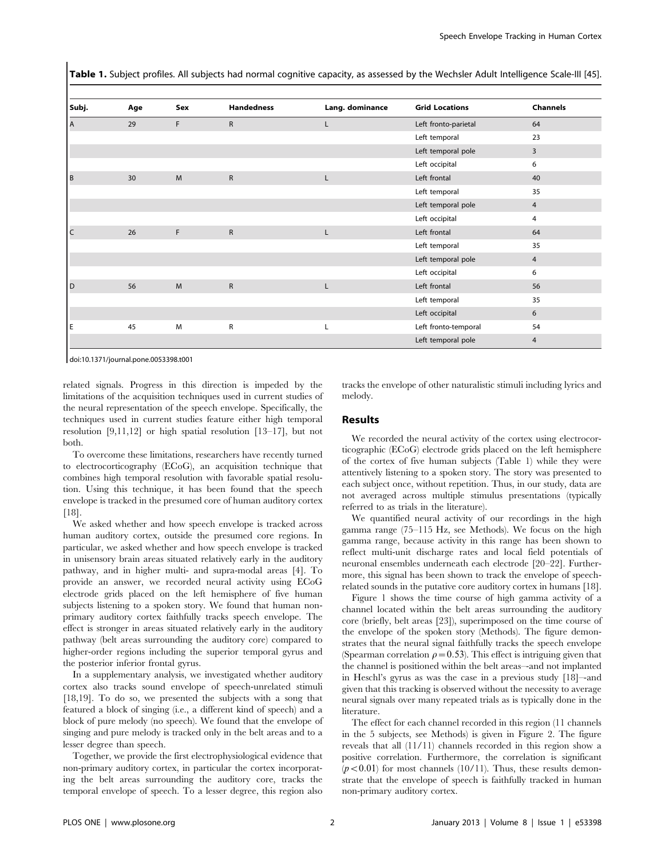Table 1. Subject profiles. All subjects had normal cognitive capacity, as assessed by the Wechsler Adult Intelligence Scale-III [45].

| Subj. | Age | Sex | <b>Handedness</b> | Lang. dominance | <b>Grid Locations</b> | Channels       |
|-------|-----|-----|-------------------|-----------------|-----------------------|----------------|
| Α     | 29  | F   | $\mathsf{R}$      | L               | Left fronto-parietal  | 64             |
|       |     |     |                   |                 | Left temporal         | 23             |
|       |     |     |                   |                 | Left temporal pole    | $\overline{3}$ |
|       |     |     |                   |                 | Left occipital        | 6              |
| B     | 30  | M   | $\mathsf{R}$      | L               | Left frontal          | 40             |
|       |     |     |                   |                 | Left temporal         | 35             |
|       |     |     |                   |                 | Left temporal pole    | $\overline{4}$ |
|       |     |     |                   |                 | Left occipital        | 4              |
| C     | 26  | F   | $\mathsf R$       | L               | Left frontal          | 64             |
|       |     |     |                   |                 | Left temporal         | 35             |
|       |     |     |                   |                 | Left temporal pole    | $\overline{4}$ |
|       |     |     |                   |                 | Left occipital        | 6              |
| D     | 56  | M   | $\mathsf R$       | L               | Left frontal          | 56             |
|       |     |     |                   |                 | Left temporal         | 35             |
|       |     |     |                   |                 | Left occipital        | 6              |
| E     | 45  | M   | R                 | L               | Left fronto-temporal  | 54             |
|       |     |     |                   |                 | Left temporal pole    | $\overline{4}$ |

doi:10.1371/journal.pone.0053398.t001

related signals. Progress in this direction is impeded by the limitations of the acquisition techniques used in current studies of the neural representation of the speech envelope. Specifically, the techniques used in current studies feature either high temporal resolution [9,11,12] or high spatial resolution [13–17], but not both.

To overcome these limitations, researchers have recently turned to electrocorticography (ECoG), an acquisition technique that combines high temporal resolution with favorable spatial resolution. Using this technique, it has been found that the speech envelope is tracked in the presumed core of human auditory cortex [18].

We asked whether and how speech envelope is tracked across human auditory cortex, outside the presumed core regions. In particular, we asked whether and how speech envelope is tracked in unisensory brain areas situated relatively early in the auditory pathway, and in higher multi- and supra-modal areas [4]. To provide an answer, we recorded neural activity using ECoG electrode grids placed on the left hemisphere of five human subjects listening to a spoken story. We found that human nonprimary auditory cortex faithfully tracks speech envelope. The effect is stronger in areas situated relatively early in the auditory pathway (belt areas surrounding the auditory core) compared to higher-order regions including the superior temporal gyrus and the posterior inferior frontal gyrus.

In a supplementary analysis, we investigated whether auditory cortex also tracks sound envelope of speech-unrelated stimuli [18,19]. To do so, we presented the subjects with a song that featured a block of singing (i.e., a different kind of speech) and a block of pure melody (no speech). We found that the envelope of singing and pure melody is tracked only in the belt areas and to a lesser degree than speech.

Together, we provide the first electrophysiological evidence that non-primary auditory cortex, in particular the cortex incorporating the belt areas surrounding the auditory core, tracks the temporal envelope of speech. To a lesser degree, this region also tracks the envelope of other naturalistic stimuli including lyrics and melody.

## Results

We recorded the neural activity of the cortex using electrocorticographic (ECoG) electrode grids placed on the left hemisphere of the cortex of five human subjects (Table 1) while they were attentively listening to a spoken story. The story was presented to each subject once, without repetition. Thus, in our study, data are not averaged across multiple stimulus presentations (typically referred to as trials in the literature).

We quantified neural activity of our recordings in the high gamma range (75–115 Hz, see Methods). We focus on the high gamma range, because activity in this range has been shown to reflect multi-unit discharge rates and local field potentials of neuronal ensembles underneath each electrode [20–22]. Furthermore, this signal has been shown to track the envelope of speechrelated sounds in the putative core auditory cortex in humans [18].

Figure 1 shows the time course of high gamma activity of a channel located within the belt areas surrounding the auditory core (briefly, belt areas [23]), superimposed on the time course of the envelope of the spoken story (Methods). The figure demonstrates that the neural signal faithfully tracks the speech envelope (Spearman correlation  $\rho = 0.53$ ). This effect is intriguing given that the channel is positioned within the belt areas–-and not implanted in Heschl's gyrus as was the case in a previous study [18]–-and given that this tracking is observed without the necessity to average neural signals over many repeated trials as is typically done in the literature.

The effect for each channel recorded in this region (11 channels in the 5 subjects, see Methods) is given in Figure 2. The figure reveals that all (11/11) channels recorded in this region show a positive correlation. Furthermore, the correlation is significant  $(p<0.01)$  for most channels (10/11). Thus, these results demonstrate that the envelope of speech is faithfully tracked in human non-primary auditory cortex.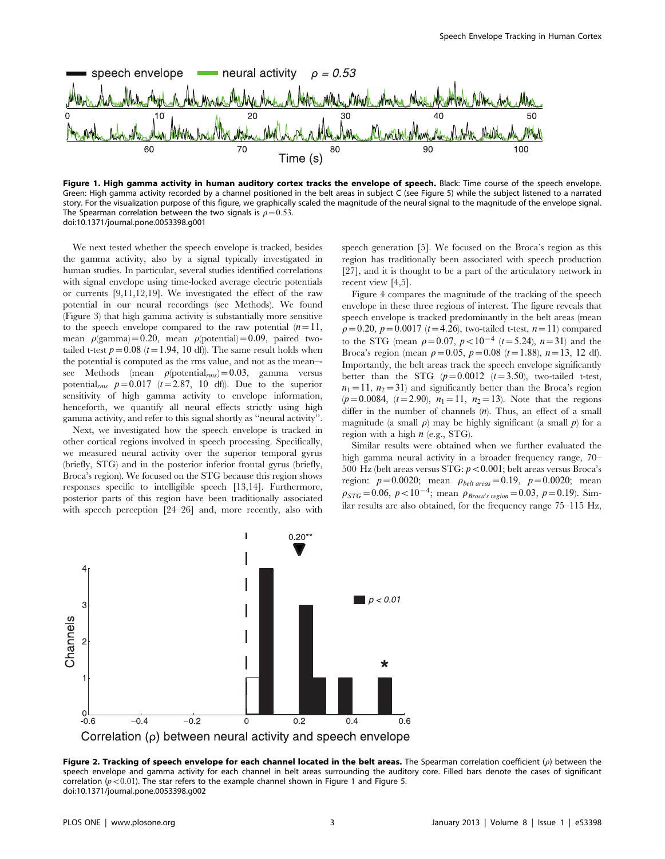

Figure 1. High gamma activity in human auditory cortex tracks the envelope of speech. Black: Time course of the speech envelope. Green: High gamma activity recorded by a channel positioned in the belt areas in subject C (see Figure 5) while the subject listened to a narrated story. For the visualization purpose of this figure, we graphically scaled the magnitude of the neural signal to the magnitude of the envelope signal. The Spearman correlation between the two signals is  $\rho = 0.53$ . doi:10.1371/journal.pone.0053398.g001

We next tested whether the speech envelope is tracked, besides the gamma activity, also by a signal typically investigated in human studies. In particular, several studies identified correlations with signal envelope using time-locked average electric potentials or currents [9,11,12,19]. We investigated the effect of the raw potential in our neural recordings (see Methods). We found (Figure 3) that high gamma activity is substantially more sensitive to the speech envelope compared to the raw potential  $(n=11,$ mean  $\rho$ (gamma) = 0.20, mean  $\rho$ (potential) = 0.09, paired twotailed t-test  $p=0.08$  ( $t=1.94$ , 10 df)). The same result holds when the potential is computed as the rms value, and not as the mean– see Methods (mean  $\rho$ (potential<sub>rms</sub>)=0.03, gamma versus potential<sub>rms</sub>  $p=0.017$  ( $t=2.87$ , 10 df)). Due to the superior sensitivity of high gamma activity to envelope information, henceforth, we quantify all neural effects strictly using high gamma activity, and refer to this signal shortly as ''neural activity''.

Next, we investigated how the speech envelope is tracked in other cortical regions involved in speech processing. Specifically, we measured neural activity over the superior temporal gyrus (briefly, STG) and in the posterior inferior frontal gyrus (briefly, Broca's region). We focused on the STG because this region shows responses specific to intelligible speech [13,14]. Furthermore, posterior parts of this region have been traditionally associated with speech perception [24–26] and, more recently, also with

speech generation [5]. We focused on the Broca's region as this region has traditionally been associated with speech production [27], and it is thought to be a part of the articulatory network in recent view [4,5].

Figure 4 compares the magnitude of the tracking of the speech envelope in these three regions of interest. The figure reveals that speech envelope is tracked predominantly in the belt areas (mean  $\rho=0.20$ ,  $p=0.0017$  (t=4.26), two-tailed t-test,  $n=11$ ) compared to the STG (mean  $\rho = 0.07$ ,  $p < 10^{-4}$  (t=5.24), n=31) and the Broca's region (mean  $\rho = 0.05$ ,  $p = 0.08$  (t=1.88), n=13, 12 df). Importantly, the belt areas track the speech envelope significantly better than the STG  $(p=0.0012 \text{ } (t=3.50)$ , two-tailed t-test,  $n_1=11$ ,  $n_2=31$ ) and significantly better than the Broca's region  $(p=0.0084, (t=2.90), n_1=11, n_2=13)$ . Note that the regions differ in the number of channels  $(n)$ . Thus, an effect of a small magnitude (a small  $\rho$ ) may be highly significant (a small  $p$ ) for a region with a high  $n$  (e.g., STG).

Similar results were obtained when we further evaluated the high gamma neural activity in a broader frequency range, 70– 500 Hz (belt areas versus STG:  $p < 0.001$ ; belt areas versus Broca's region:  $p=0.0020$ ; mean  $\rho_{belt\, areas}=0.19, p=0.0020;$  mean  $\rho_{STG}=0.06, p<10^{-4}$ ; mean  $\rho_{Brocds region}=0.03, p=0.19$ ). Similar results are also obtained, for the frequency range 75–115 Hz,



Figure 2. Tracking of speech envelope for each channel located in the belt areas. The Spearman correlation coefficient  $(\rho)$  between the speech envelope and gamma activity for each channel in belt areas surrounding the auditory core. Filled bars denote the cases of significant correlation ( $p<0.01$ ). The star refers to the example channel shown in Figure 1 and Figure 5. doi:10.1371/journal.pone.0053398.g002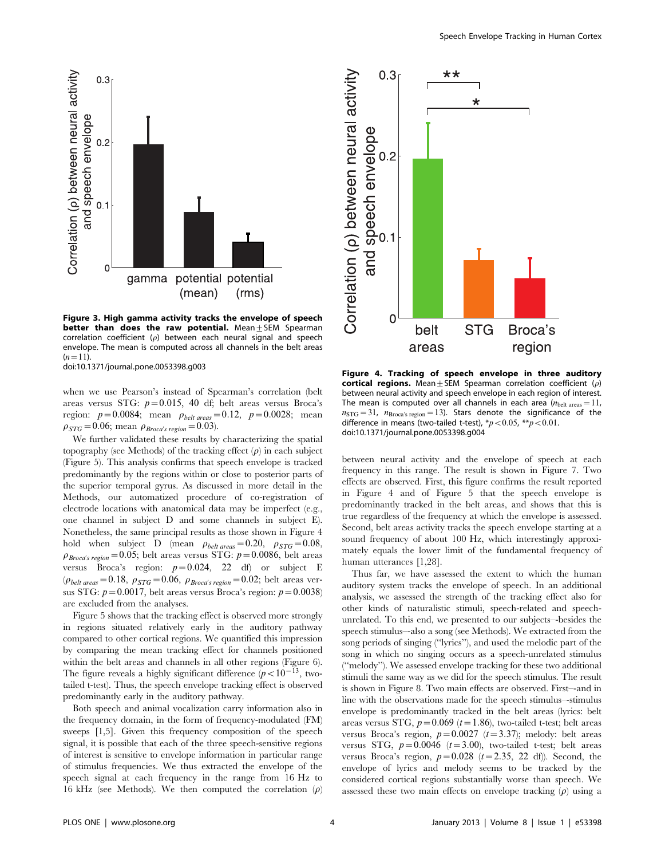

Figure 3. High gamma activity tracks the envelope of speech **better than does the raw potential.** Mean $\pm$ SEM Spearman correlation coefficient ( $\rho$ ) between each neural signal and speech envelope. The mean is computed across all channels in the belt areas  $(n=11)$ .<br>doi:10.1371/journal.pone.0053398.q003

when we use Pearson's instead of Spearman's correlation (belt areas versus STG:  $p=0.015$ , 40 df; belt areas versus Broca's region:  $p=0.0084$ ; mean  $\rho_{belt\; areas}=0.12, p=0.0028$ ; mean  $\rho_{STG}=0.06$ ; mean  $\rho_{Broca's region}=0.03$ ).

We further validated these results by characterizing the spatial topography (see Methods) of the tracking effect  $(\rho)$  in each subject (Figure 5). This analysis confirms that speech envelope is tracked predominantly by the regions within or close to posterior parts of the superior temporal gyrus. As discussed in more detail in the Methods, our automatized procedure of co-registration of electrode locations with anatomical data may be imperfect (e.g., one channel in subject D and some channels in subject E). Nonetheless, the same principal results as those shown in Figure 4 hold when subject D (mean  $\rho_{belt\, areas}=0.20, \rho_{STG}=0.08,$  $\rho_{\text{Broca's region}} = 0.05$ ; belt areas versus STG:  $p = 0.0086$ , belt areas versus Broca's region:  $p=0.024$ , 22 df) or subject E  $(\rho_{belt\ areas}=0.18, \ \rho_{STG}=0.06, \ \rho_{Brocas\ region}=0.02;$  belt areas versus STG:  $p=0.0017$ , belt areas versus Broca's region:  $p=0.0038$ ) are excluded from the analyses.

Figure 5 shows that the tracking effect is observed more strongly in regions situated relatively early in the auditory pathway compared to other cortical regions. We quantified this impression by comparing the mean tracking effect for channels positioned within the belt areas and channels in all other regions (Figure 6). The figure reveals a highly significant difference  $(p<10^{-13}$ , twotailed t-test). Thus, the speech envelope tracking effect is observed predominantly early in the auditory pathway.

Both speech and animal vocalization carry information also in the frequency domain, in the form of frequency-modulated (FM) sweeps [1,5]. Given this frequency composition of the speech signal, it is possible that each of the three speech-sensitive regions of interest is sensitive to envelope information in particular range of stimulus frequencies. We thus extracted the envelope of the speech signal at each frequency in the range from 16 Hz to 16 kHz (see Methods). We then computed the correlation  $(\rho)$ 



Figure 4. Tracking of speech envelope in three auditory cortical regions. Mean  $\pm$  SEM Spearman correlation coefficient ( $\rho$ ) between neural activity and speech envelope in each region of interest. The mean is computed over all channels in each area  $(n_{\text{belt areas}}=11,$  $n_{\text{STG}}=31$ ,  $n_{\text{Broca's region}}=13$ ). Stars denote the significance of the difference in means (two-tailed t-test),  $\frac{*p}{<}0.05$ ,  $\frac{**p}{<}0.01$ . doi:10.1371/journal.pone.0053398.g004

between neural activity and the envelope of speech at each frequency in this range. The result is shown in Figure 7. Two effects are observed. First, this figure confirms the result reported in Figure 4 and of Figure 5 that the speech envelope is predominantly tracked in the belt areas, and shows that this is true regardless of the frequency at which the envelope is assessed. Second, belt areas activity tracks the speech envelope starting at a sound frequency of about 100 Hz, which interestingly approximately equals the lower limit of the fundamental frequency of human utterances [1,28].

Thus far, we have assessed the extent to which the human auditory system tracks the envelope of speech. In an additional analysis, we assessed the strength of the tracking effect also for other kinds of naturalistic stimuli, speech-related and speechunrelated. To this end, we presented to our subjects–-besides the speech stimulus–-also a song (see Methods). We extracted from the song periods of singing (''lyrics''), and used the melodic part of the song in which no singing occurs as a speech-unrelated stimulus (''melody''). We assessed envelope tracking for these two additional stimuli the same way as we did for the speech stimulus. The result is shown in Figure 8. Two main effects are observed. First–-and in line with the observations made for the speech stimulus–-stimulus envelope is predominantly tracked in the belt areas (lyrics: belt areas versus STG,  $p=0.069$  ( $t=1.86$ ), two-tailed t-test; belt areas versus Broca's region,  $p=0.0027$  ( $t=3.37$ ); melody: belt areas versus STG,  $p=0.0046$  ( $t=3.00$ ), two-tailed t-test; belt areas versus Broca's region,  $p=0.028$  ( $t=2.35$ , 22 df)). Second, the envelope of lyrics and melody seems to be tracked by the considered cortical regions substantially worse than speech. We assessed these two main effects on envelope tracking  $(\rho)$  using a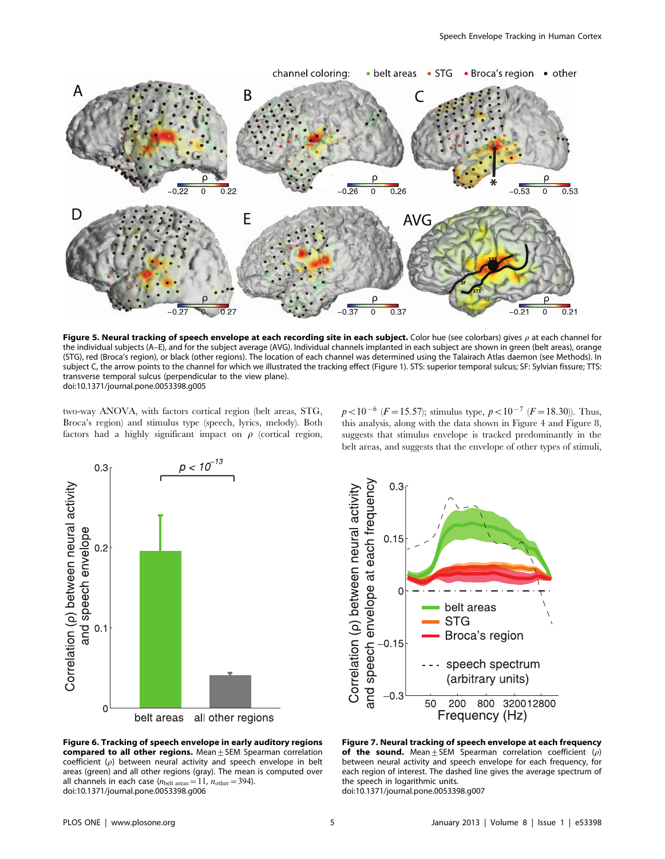

Figure 5. Neural tracking of speech envelope at each recording site in each subject. Color hue (see colorbars) gives  $\rho$  at each channel for the individual subjects (A–E), and for the subject average (AVG). Individual channels implanted in each subject are shown in green (belt areas), orange (STG), red (Broca's region), or black (other regions). The location of each channel was determined using the Talairach Atlas daemon (see Methods). In subject C, the arrow points to the channel for which we illustrated the tracking effect (Figure 1). STS: superior temporal sulcus; SF: Sylvian fissure; TTS: transverse temporal sulcus (perpendicular to the view plane). doi:10.1371/journal.pone.0053398.g005

two-way ANOVA, with factors cortical region (belt areas, STG, Broca's region) and stimulus type (speech, lyrics, melody). Both factors had a highly significant impact on  $\rho$  (cortical region,



 $p<10^{-6}$  (F = 15.57); stimulus type,  $p<10^{-7}$  (F = 18.30)). Thus, this analysis, along with the data shown in Figure 4 and Figure 8, suggests that stimulus envelope is tracked predominantly in the belt areas, and suggests that the envelope of other types of stimuli,



Figure 6. Tracking of speech envelope in early auditory regions compared to all other regions. Mean $\pm$ SEM Spearman correlation coefficient ( $\rho$ ) between neural activity and speech envelope in belt areas (green) and all other regions (gray). The mean is computed over all channels in each case ( $n_{\text{belt areas}}=11$ ,  $n_{\text{other}}=394$ ). doi:10.1371/journal.pone.0053398.g006

Figure 7. Neural tracking of speech envelope at each frequency of the sound. Mean $\pm$ SEM Spearman correlation coefficient ( $\rho$ ) between neural activity and speech envelope for each frequency, for each region of interest. The dashed line gives the average spectrum of the speech in logarithmic units. doi:10.1371/journal.pone.0053398.g007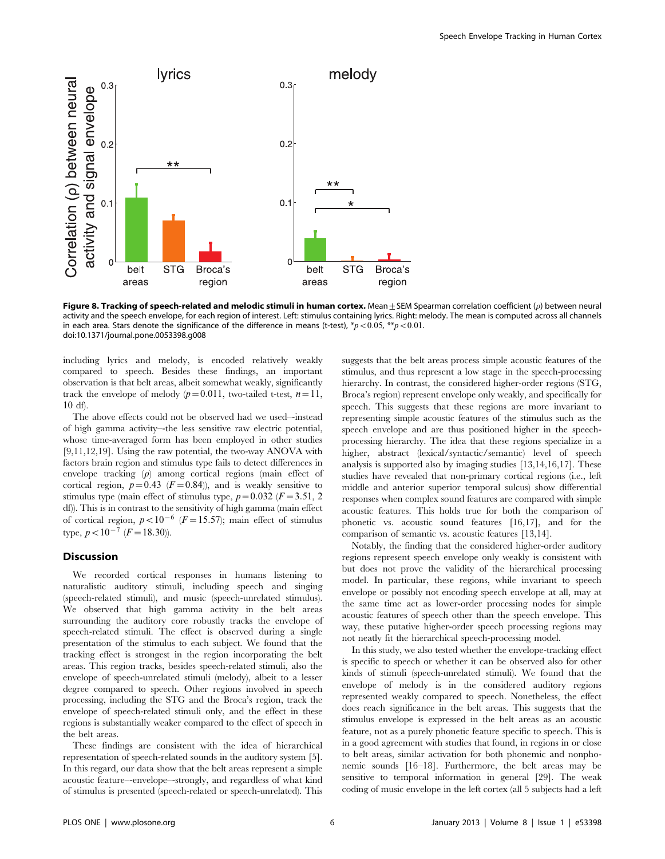

Figure 8. Tracking of speech-related and melodic stimuli in human cortex. Mean  $\pm$  SEM Spearman correlation coefficient ( $\rho$ ) between neural activity and the speech envelope, for each region of interest. Left: stimulus containing lyrics. Right: melody. The mean is computed across all channels in each area. Stars denote the significance of the difference in means (t-test), \* $p<0.05$ , \*\* $p<0.01$ . doi:10.1371/journal.pone.0053398.g008

including lyrics and melody, is encoded relatively weakly compared to speech. Besides these findings, an important observation is that belt areas, albeit somewhat weakly, significantly track the envelope of melody  $(p=0.011,$  two-tailed t-test,  $n=11$ , 10 df).

The above effects could not be observed had we used–-instead of high gamma activity–-the less sensitive raw electric potential, whose time-averaged form has been employed in other studies [9,11,12,19]. Using the raw potential, the two-way ANOVA with factors brain region and stimulus type fails to detect differences in envelope tracking  $(\rho)$  among cortical regions (main effect of cortical region,  $p=0.43$  ( $F=0.84$ )), and is weakly sensitive to stimulus type (main effect of stimulus type,  $p=0.032$  ( $F=3.51, 2$ ) df)). This is in contrast to the sensitivity of high gamma (main effect of cortical region,  $p<10^{-6}$  ( $F=15.57$ ); main effect of stimulus type,  $p<10^{-7}$  ( $F=18.30$ )).

# Discussion

We recorded cortical responses in humans listening to naturalistic auditory stimuli, including speech and singing (speech-related stimuli), and music (speech-unrelated stimulus). We observed that high gamma activity in the belt areas surrounding the auditory core robustly tracks the envelope of speech-related stimuli. The effect is observed during a single presentation of the stimulus to each subject. We found that the tracking effect is strongest in the region incorporating the belt areas. This region tracks, besides speech-related stimuli, also the envelope of speech-unrelated stimuli (melody), albeit to a lesser degree compared to speech. Other regions involved in speech processing, including the STG and the Broca's region, track the envelope of speech-related stimuli only, and the effect in these regions is substantially weaker compared to the effect of speech in the belt areas.

These findings are consistent with the idea of hierarchical representation of speech-related sounds in the auditory system [5]. In this regard, our data show that the belt areas represent a simple acoustic feature–-envelope–-strongly, and regardless of what kind of stimulus is presented (speech-related or speech-unrelated). This suggests that the belt areas process simple acoustic features of the stimulus, and thus represent a low stage in the speech-processing hierarchy. In contrast, the considered higher-order regions (STG, Broca's region) represent envelope only weakly, and specifically for speech. This suggests that these regions are more invariant to representing simple acoustic features of the stimulus such as the speech envelope and are thus positioned higher in the speechprocessing hierarchy. The idea that these regions specialize in a higher, abstract (lexical/syntactic/semantic) level of speech analysis is supported also by imaging studies [13,14,16,17]. These studies have revealed that non-primary cortical regions (i.e., left middle and anterior superior temporal sulcus) show differential responses when complex sound features are compared with simple acoustic features. This holds true for both the comparison of phonetic vs. acoustic sound features [16,17], and for the comparison of semantic vs. acoustic features [13,14].

Notably, the finding that the considered higher-order auditory regions represent speech envelope only weakly is consistent with but does not prove the validity of the hierarchical processing model. In particular, these regions, while invariant to speech envelope or possibly not encoding speech envelope at all, may at the same time act as lower-order processing nodes for simple acoustic features of speech other than the speech envelope. This way, these putative higher-order speech processing regions may not neatly fit the hierarchical speech-processing model.

In this study, we also tested whether the envelope-tracking effect is specific to speech or whether it can be observed also for other kinds of stimuli (speech-unrelated stimuli). We found that the envelope of melody is in the considered auditory regions represented weakly compared to speech. Nonetheless, the effect does reach significance in the belt areas. This suggests that the stimulus envelope is expressed in the belt areas as an acoustic feature, not as a purely phonetic feature specific to speech. This is in a good agreement with studies that found, in regions in or close to belt areas, similar activation for both phonemic and nonphonemic sounds [16–18]. Furthermore, the belt areas may be sensitive to temporal information in general [29]. The weak coding of music envelope in the left cortex (all 5 subjects had a left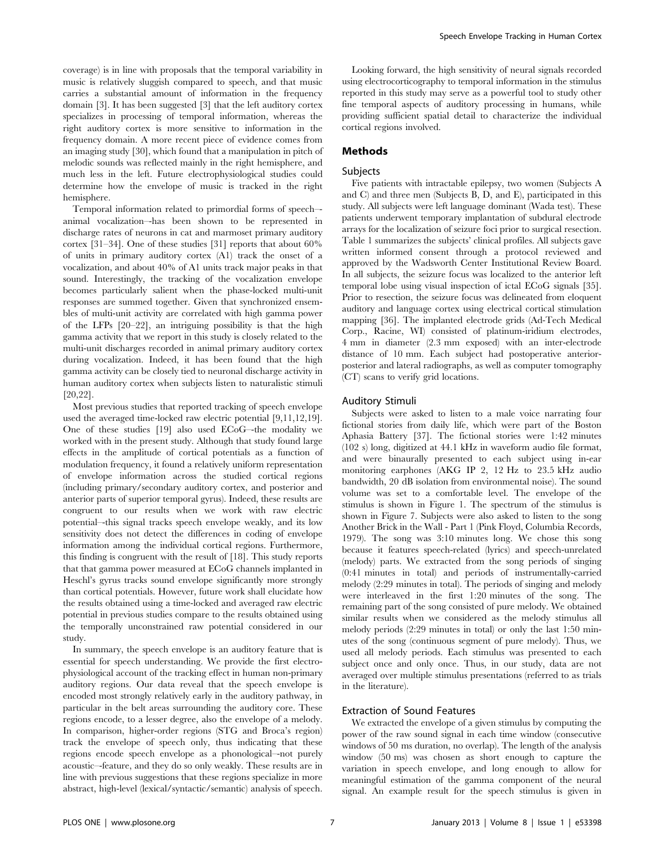coverage) is in line with proposals that the temporal variability in music is relatively sluggish compared to speech, and that music carries a substantial amount of information in the frequency domain [3]. It has been suggested [3] that the left auditory cortex specializes in processing of temporal information, whereas the right auditory cortex is more sensitive to information in the frequency domain. A more recent piece of evidence comes from an imaging study [30], which found that a manipulation in pitch of melodic sounds was reflected mainly in the right hemisphere, and much less in the left. Future electrophysiological studies could determine how the envelope of music is tracked in the right hemisphere.

Temporal information related to primordial forms of speech– animal vocalization–-has been shown to be represented in discharge rates of neurons in cat and marmoset primary auditory cortex [31–34]. One of these studies [31] reports that about 60% of units in primary auditory cortex (A1) track the onset of a vocalization, and about 40% of A1 units track major peaks in that sound. Interestingly, the tracking of the vocalization envelope becomes particularly salient when the phase-locked multi-unit responses are summed together. Given that synchronized ensembles of multi-unit activity are correlated with high gamma power of the LFPs [20–22], an intriguing possibility is that the high gamma activity that we report in this study is closely related to the multi-unit discharges recorded in animal primary auditory cortex during vocalization. Indeed, it has been found that the high gamma activity can be closely tied to neuronal discharge activity in human auditory cortex when subjects listen to naturalistic stimuli [20,22].

Most previous studies that reported tracking of speech envelope used the averaged time-locked raw electric potential [9,11,12,19]. One of these studies [19] also used ECoG–-the modality we worked with in the present study. Although that study found large effects in the amplitude of cortical potentials as a function of modulation frequency, it found a relatively uniform representation of envelope information across the studied cortical regions (including primary/secondary auditory cortex, and posterior and anterior parts of superior temporal gyrus). Indeed, these results are congruent to our results when we work with raw electric potential–-this signal tracks speech envelope weakly, and its low sensitivity does not detect the differences in coding of envelope information among the individual cortical regions. Furthermore, this finding is congruent with the result of [18]. This study reports that that gamma power measured at ECoG channels implanted in Heschl's gyrus tracks sound envelope significantly more strongly than cortical potentials. However, future work shall elucidate how the results obtained using a time-locked and averaged raw electric potential in previous studies compare to the results obtained using the temporally unconstrained raw potential considered in our study.

In summary, the speech envelope is an auditory feature that is essential for speech understanding. We provide the first electrophysiological account of the tracking effect in human non-primary auditory regions. Our data reveal that the speech envelope is encoded most strongly relatively early in the auditory pathway, in particular in the belt areas surrounding the auditory core. These regions encode, to a lesser degree, also the envelope of a melody. In comparison, higher-order regions (STG and Broca's region) track the envelope of speech only, thus indicating that these regions encode speech envelope as a phonological–-not purely acoustic–-feature, and they do so only weakly. These results are in line with previous suggestions that these regions specialize in more abstract, high-level (lexical/syntactic/semantic) analysis of speech.

Looking forward, the high sensitivity of neural signals recorded using electrocorticography to temporal information in the stimulus reported in this study may serve as a powerful tool to study other fine temporal aspects of auditory processing in humans, while providing sufficient spatial detail to characterize the individual cortical regions involved.

# Methods

## Subjects

Five patients with intractable epilepsy, two women (Subjects A and C) and three men (Subjects B, D, and E), participated in this study. All subjects were left language dominant (Wada test). These patients underwent temporary implantation of subdural electrode arrays for the localization of seizure foci prior to surgical resection. Table 1 summarizes the subjects' clinical profiles. All subjects gave written informed consent through a protocol reviewed and approved by the Wadsworth Center Institutional Review Board. In all subjects, the seizure focus was localized to the anterior left temporal lobe using visual inspection of ictal ECoG signals [35]. Prior to resection, the seizure focus was delineated from eloquent auditory and language cortex using electrical cortical stimulation mapping [36]. The implanted electrode grids (Ad-Tech Medical Corp., Racine, WI) consisted of platinum-iridium electrodes, 4 mm in diameter (2.3 mm exposed) with an inter-electrode distance of 10 mm. Each subject had postoperative anteriorposterior and lateral radiographs, as well as computer tomography (CT) scans to verify grid locations.

#### Auditory Stimuli

Subjects were asked to listen to a male voice narrating four fictional stories from daily life, which were part of the Boston Aphasia Battery [37]. The fictional stories were 1:42 minutes (102 s) long, digitized at 44.1 kHz in waveform audio file format, and were binaurally presented to each subject using in-ear monitoring earphones (AKG IP 2, 12 Hz to 23.5 kHz audio bandwidth, 20 dB isolation from environmental noise). The sound volume was set to a comfortable level. The envelope of the stimulus is shown in Figure 1. The spectrum of the stimulus is shown in Figure 7. Subjects were also asked to listen to the song Another Brick in the Wall - Part 1 (Pink Floyd, Columbia Records, 1979). The song was 3:10 minutes long. We chose this song because it features speech-related (lyrics) and speech-unrelated (melody) parts. We extracted from the song periods of singing (0:41 minutes in total) and periods of instrumentally-carried melody (2:29 minutes in total). The periods of singing and melody were interleaved in the first 1:20 minutes of the song. The remaining part of the song consisted of pure melody. We obtained similar results when we considered as the melody stimulus all melody periods (2:29 minutes in total) or only the last 1:50 minutes of the song (continuous segment of pure melody). Thus, we used all melody periods. Each stimulus was presented to each subject once and only once. Thus, in our study, data are not averaged over multiple stimulus presentations (referred to as trials in the literature).

#### Extraction of Sound Features

We extracted the envelope of a given stimulus by computing the power of the raw sound signal in each time window (consecutive windows of 50 ms duration, no overlap). The length of the analysis window (50 ms) was chosen as short enough to capture the variation in speech envelope, and long enough to allow for meaningful estimation of the gamma component of the neural signal. An example result for the speech stimulus is given in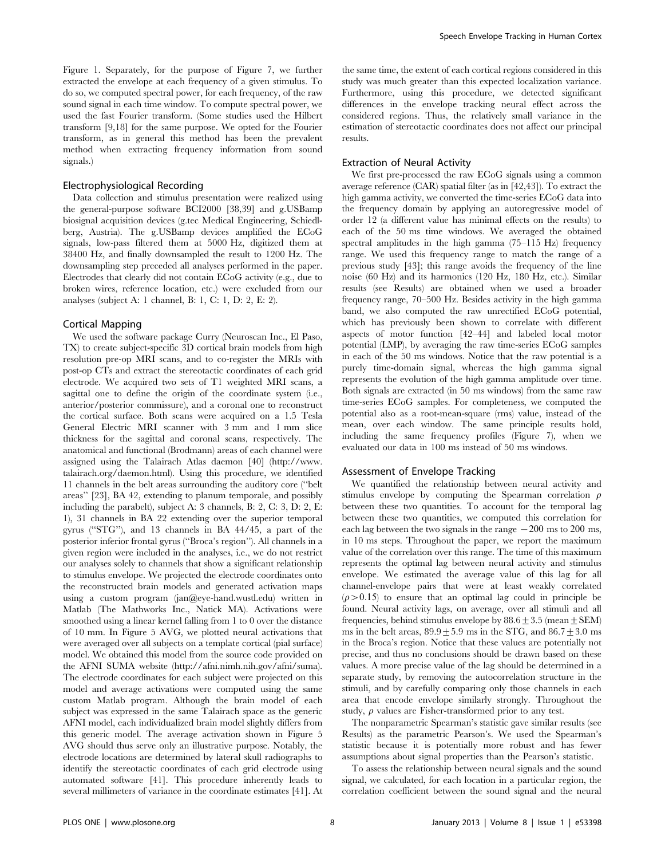Figure 1. Separately, for the purpose of Figure 7, we further extracted the envelope at each frequency of a given stimulus. To do so, we computed spectral power, for each frequency, of the raw sound signal in each time window. To compute spectral power, we used the fast Fourier transform. (Some studies used the Hilbert transform [9,18] for the same purpose. We opted for the Fourier transform, as in general this method has been the prevalent method when extracting frequency information from sound signals.)

#### Electrophysiological Recording

Data collection and stimulus presentation were realized using the general-purpose software BCI2000 [38,39] and g.USBamp biosignal acquisition devices (g.tec Medical Engineering, Schiedlberg, Austria). The g.USBamp devices amplified the ECoG signals, low-pass filtered them at 5000 Hz, digitized them at 38400 Hz, and finally downsampled the result to 1200 Hz. The downsampling step preceded all analyses performed in the paper. Electrodes that clearly did not contain ECoG activity (e.g., due to broken wires, reference location, etc.) were excluded from our analyses (subject A: 1 channel, B: 1, C: 1, D: 2, E: 2).

#### Cortical Mapping

We used the software package Curry (Neuroscan Inc., El Paso, TX) to create subject-specific 3D cortical brain models from high resolution pre-op MRI scans, and to co-register the MRIs with post-op CTs and extract the stereotactic coordinates of each grid electrode. We acquired two sets of T1 weighted MRI scans, a sagittal one to define the origin of the coordinate system (i.e., anterior/posterior commissure), and a coronal one to reconstruct the cortical surface. Both scans were acquired on a 1.5 Tesla General Electric MRI scanner with 3 mm and 1 mm slice thickness for the sagittal and coronal scans, respectively. The anatomical and functional (Brodmann) areas of each channel were assigned using the Talairach Atlas daemon [40] (http://www. talairach.org/daemon.html). Using this procedure, we identified 11 channels in the belt areas surrounding the auditory core (''belt areas'' [23], BA 42, extending to planum temporale, and possibly including the parabelt), subject A: 3 channels, B: 2, C: 3, D: 2, E: 1), 31 channels in BA 22 extending over the superior temporal gyrus (''STG''), and 13 channels in BA 44/45, a part of the posterior inferior frontal gyrus (''Broca's region''). All channels in a given region were included in the analyses, i.e., we do not restrict our analyses solely to channels that show a significant relationship to stimulus envelope. We projected the electrode coordinates onto the reconstructed brain models and generated activation maps using a custom program (jan@eye-hand.wustl.edu) written in Matlab (The Mathworks Inc., Natick MA). Activations were smoothed using a linear kernel falling from 1 to 0 over the distance of 10 mm. In Figure 5 AVG, we plotted neural activations that were averaged over all subjects on a template cortical (pial surface) model. We obtained this model from the source code provided on the AFNI SUMA website (http://afni.nimh.nih.gov/afni/suma). The electrode coordinates for each subject were projected on this model and average activations were computed using the same custom Matlab program. Although the brain model of each subject was expressed in the same Talairach space as the generic AFNI model, each individualized brain model slightly differs from this generic model. The average activation shown in Figure 5 AVG should thus serve only an illustrative purpose. Notably, the electrode locations are determined by lateral skull radiographs to identify the stereotactic coordinates of each grid electrode using automated software [41]. This procedure inherently leads to several millimeters of variance in the coordinate estimates [41]. At the same time, the extent of each cortical regions considered in this study was much greater than this expected localization variance. Furthermore, using this procedure, we detected significant differences in the envelope tracking neural effect across the considered regions. Thus, the relatively small variance in the estimation of stereotactic coordinates does not affect our principal results.

#### Extraction of Neural Activity

We first pre-processed the raw ECoG signals using a common average reference (CAR) spatial filter (as in [42,43]). To extract the high gamma activity, we converted the time-series ECoG data into the frequency domain by applying an autoregressive model of order 12 (a different value has minimal effects on the results) to each of the 50 ms time windows. We averaged the obtained spectral amplitudes in the high gamma (75–115 Hz) frequency range. We used this frequency range to match the range of a previous study [43]; this range avoids the frequency of the line noise (60 Hz) and its harmonics (120 Hz, 180 Hz, etc.). Similar results (see Results) are obtained when we used a broader frequency range, 70–500 Hz. Besides activity in the high gamma band, we also computed the raw unrectified ECoG potential, which has previously been shown to correlate with different aspects of motor function [42–44] and labeled local motor potential (LMP), by averaging the raw time-series ECoG samples in each of the 50 ms windows. Notice that the raw potential is a purely time-domain signal, whereas the high gamma signal represents the evolution of the high gamma amplitude over time. Both signals are extracted (in 50 ms windows) from the same raw time-series ECoG samples. For completeness, we computed the potential also as a root-mean-square (rms) value, instead of the mean, over each window. The same principle results hold, including the same frequency profiles (Figure 7), when we evaluated our data in 100 ms instead of 50 ms windows.

#### Assessment of Envelope Tracking

We quantified the relationship between neural activity and stimulus envelope by computing the Spearman correlation  $\rho$ between these two quantities. To account for the temporal lag between these two quantities, we computed this correlation for each lag between the two signals in the range  $-200$  ms to  $200$  ms, in 10 ms steps. Throughout the paper, we report the maximum value of the correlation over this range. The time of this maximum represents the optimal lag between neural activity and stimulus envelope. We estimated the average value of this lag for all channel-envelope pairs that were at least weakly correlated  $(\rho > 0.15)$  to ensure that an optimal lag could in principle be found. Neural activity lags, on average, over all stimuli and all frequencies, behind stimulus envelope by  $88.6 \pm 3.5$  (mean  $\pm$  SEM) ms in the belt areas,  $89.9 \pm 5.9$  ms in the STG, and  $86.7 \pm 3.0$  ms in the Broca's region. Notice that these values are potentially not precise, and thus no conclusions should be drawn based on these values. A more precise value of the lag should be determined in a separate study, by removing the autocorrelation structure in the stimuli, and by carefully comparing only those channels in each area that encode envelope similarly strongly. Throughout the study,  $\rho$  values are Fisher-transformed prior to any test.

The nonparametric Spearman's statistic gave similar results (see Results) as the parametric Pearson's. We used the Spearman's statistic because it is potentially more robust and has fewer assumptions about signal properties than the Pearson's statistic.

To assess the relationship between neural signals and the sound signal, we calculated, for each location in a particular region, the correlation coefficient between the sound signal and the neural